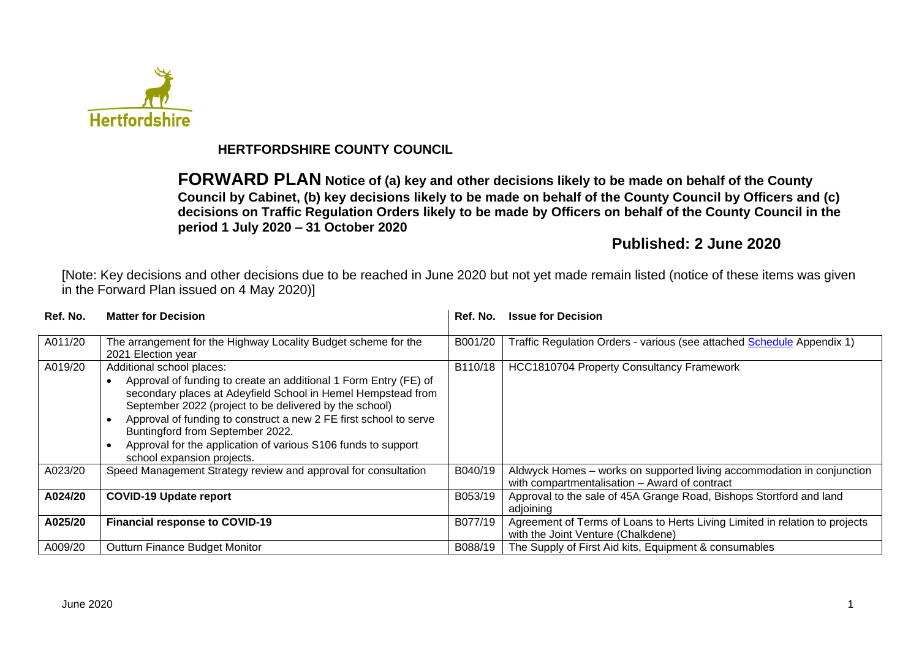

## **HERTFORDSHIRE COUNTY COUNCIL**

**FORWARD PLAN Notice of (a) key and other decisions likely to be made on behalf of the County Council by Cabinet, (b) key decisions likely to be made on behalf of the County Council by Officers and (c) decisions on Traffic Regulation Orders likely to be made by Officers on behalf of the County Council in the period 1 July 2020 – 31 October 2020**

# **Published: 2 June 2020**

[Note: Key decisions and other decisions due to be reached in June 2020 but not yet made remain listed (notice of these items was given in the Forward Plan issued on 4 May 2020)]

| Ref. No. | <b>Matter for Decision</b>                                                                                                                                                                                                                                                                                                                                                                                                      | Ref. No. | <b>Issue for Decision</b>                                                                                               |
|----------|---------------------------------------------------------------------------------------------------------------------------------------------------------------------------------------------------------------------------------------------------------------------------------------------------------------------------------------------------------------------------------------------------------------------------------|----------|-------------------------------------------------------------------------------------------------------------------------|
| A011/20  | The arrangement for the Highway Locality Budget scheme for the<br>2021 Election year                                                                                                                                                                                                                                                                                                                                            | B001/20  | Traffic Regulation Orders - various (see attached Schedule Appendix 1)                                                  |
| A019/20  | Additional school places:<br>Approval of funding to create an additional 1 Form Entry (FE) of<br>secondary places at Adeyfield School in Hemel Hempstead from<br>September 2022 (project to be delivered by the school)<br>Approval of funding to construct a new 2 FE first school to serve<br>Buntingford from September 2022.<br>Approval for the application of various S106 funds to support<br>school expansion projects. | B110/18  | HCC1810704 Property Consultancy Framework                                                                               |
| A023/20  | Speed Management Strategy review and approval for consultation                                                                                                                                                                                                                                                                                                                                                                  | B040/19  | Aldwyck Homes - works on supported living accommodation in conjunction<br>with compartmentalisation - Award of contract |
| A024/20  | <b>COVID-19 Update report</b>                                                                                                                                                                                                                                                                                                                                                                                                   | B053/19  | Approval to the sale of 45A Grange Road, Bishops Stortford and land<br>adjoining                                        |
| A025/20  | <b>Financial response to COVID-19</b>                                                                                                                                                                                                                                                                                                                                                                                           | B077/19  | Agreement of Terms of Loans to Herts Living Limited in relation to projects<br>with the Joint Venture (Chalkdene)       |
| A009/20  | <b>Outturn Finance Budget Monitor</b>                                                                                                                                                                                                                                                                                                                                                                                           | B088/19  | The Supply of First Aid kits, Equipment & consumables                                                                   |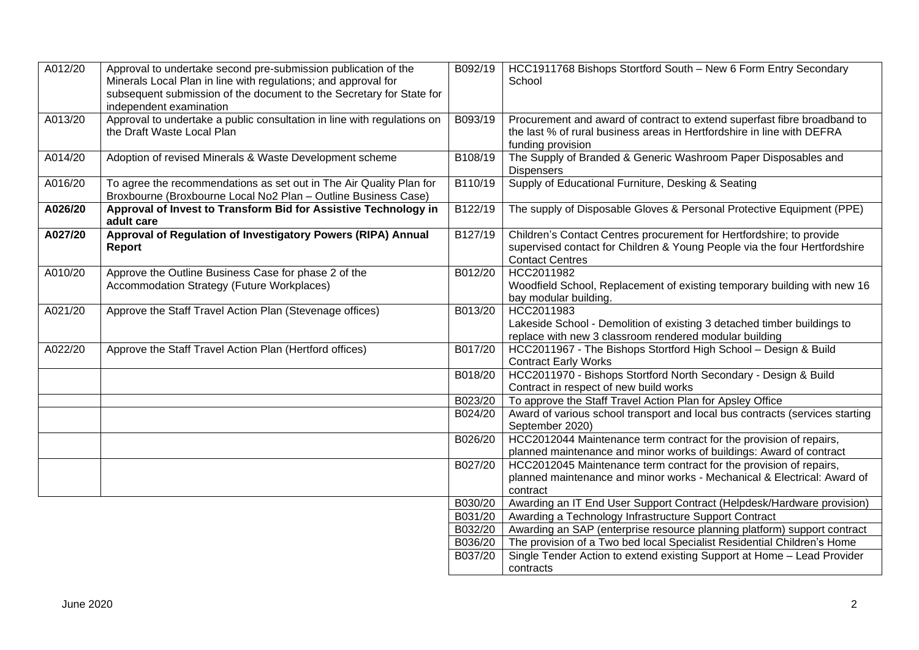| A012/20 | Approval to undertake second pre-submission publication of the<br>Minerals Local Plan in line with regulations; and approval for<br>subsequent submission of the document to the Secretary for State for<br>independent examination |         | B092/19   HCC1911768 Bishops Stortford South - New 6 Form Entry Secondary<br>School                                                                                         |
|---------|-------------------------------------------------------------------------------------------------------------------------------------------------------------------------------------------------------------------------------------|---------|-----------------------------------------------------------------------------------------------------------------------------------------------------------------------------|
| A013/20 | Approval to undertake a public consultation in line with regulations on<br>the Draft Waste Local Plan                                                                                                                               | B093/19 | Procurement and award of contract to extend superfast fibre broadband to<br>the last % of rural business areas in Hertfordshire in line with DEFRA<br>funding provision     |
| A014/20 | Adoption of revised Minerals & Waste Development scheme                                                                                                                                                                             | B108/19 | The Supply of Branded & Generic Washroom Paper Disposables and<br><b>Dispensers</b>                                                                                         |
| A016/20 | To agree the recommendations as set out in The Air Quality Plan for<br>Broxbourne (Broxbourne Local No2 Plan - Outline Business Case)                                                                                               | B110/19 | Supply of Educational Furniture, Desking & Seating                                                                                                                          |
| A026/20 | Approval of Invest to Transform Bid for Assistive Technology in<br>adult care                                                                                                                                                       | B122/19 | The supply of Disposable Gloves & Personal Protective Equipment (PPE)                                                                                                       |
| A027/20 | Approval of Regulation of Investigatory Powers (RIPA) Annual<br>Report                                                                                                                                                              | B127/19 | Children's Contact Centres procurement for Hertfordshire; to provide<br>supervised contact for Children & Young People via the four Hertfordshire<br><b>Contact Centres</b> |
| A010/20 | Approve the Outline Business Case for phase 2 of the<br>Accommodation Strategy (Future Workplaces)                                                                                                                                  | B012/20 | HCC2011982<br>Woodfield School, Replacement of existing temporary building with new 16<br>bay modular building.                                                             |
| A021/20 | Approve the Staff Travel Action Plan (Stevenage offices)                                                                                                                                                                            | B013/20 | HCC2011983<br>Lakeside School - Demolition of existing 3 detached timber buildings to<br>replace with new 3 classroom rendered modular building                             |
| A022/20 | Approve the Staff Travel Action Plan (Hertford offices)                                                                                                                                                                             | B017/20 | HCC2011967 - The Bishops Stortford High School - Design & Build<br><b>Contract Early Works</b>                                                                              |
|         |                                                                                                                                                                                                                                     | B018/20 | HCC2011970 - Bishops Stortford North Secondary - Design & Build<br>Contract in respect of new build works                                                                   |
|         |                                                                                                                                                                                                                                     | B023/20 | To approve the Staff Travel Action Plan for Apsley Office                                                                                                                   |
|         |                                                                                                                                                                                                                                     | B024/20 | Award of various school transport and local bus contracts (services starting<br>September 2020)                                                                             |
|         |                                                                                                                                                                                                                                     | B026/20 | HCC2012044 Maintenance term contract for the provision of repairs,<br>planned maintenance and minor works of buildings: Award of contract                                   |
|         |                                                                                                                                                                                                                                     | B027/20 | HCC2012045 Maintenance term contract for the provision of repairs,                                                                                                          |
|         |                                                                                                                                                                                                                                     |         | planned maintenance and minor works - Mechanical & Electrical: Award of<br>contract                                                                                         |
|         |                                                                                                                                                                                                                                     | B030/20 | Awarding an IT End User Support Contract (Helpdesk/Hardware provision)                                                                                                      |
|         |                                                                                                                                                                                                                                     | B031/20 | Awarding a Technology Infrastructure Support Contract                                                                                                                       |
|         |                                                                                                                                                                                                                                     | B032/20 | Awarding an SAP (enterprise resource planning platform) support contract                                                                                                    |
|         |                                                                                                                                                                                                                                     | B036/20 | The provision of a Two bed local Specialist Residential Children's Home                                                                                                     |
|         |                                                                                                                                                                                                                                     | B037/20 | Single Tender Action to extend existing Support at Home - Lead Provider<br>contracts                                                                                        |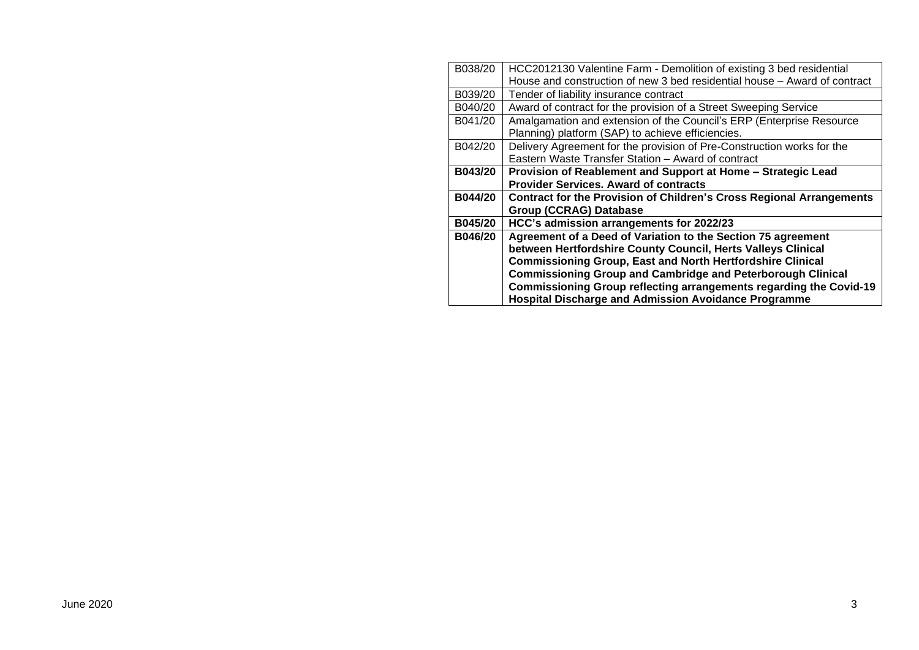| B038/20        | HCC2012130 Valentine Farm - Demolition of existing 3 bed residential        |
|----------------|-----------------------------------------------------------------------------|
|                | House and construction of new 3 bed residential house - Award of contract   |
| B039/20        | Tender of liability insurance contract                                      |
| B040/20        | Award of contract for the provision of a Street Sweeping Service            |
| B041/20        | Amalgamation and extension of the Council's ERP (Enterprise Resource        |
|                | Planning) platform (SAP) to achieve efficiencies.                           |
| B042/20        | Delivery Agreement for the provision of Pre-Construction works for the      |
|                | Eastern Waste Transfer Station - Award of contract                          |
| B043/20        | Provision of Reablement and Support at Home - Strategic Lead                |
|                | <b>Provider Services. Award of contracts</b>                                |
| B044/20        | <b>Contract for the Provision of Children's Cross Regional Arrangements</b> |
|                | <b>Group (CCRAG) Database</b>                                               |
| <b>B045/20</b> | HCC's admission arrangements for 2022/23                                    |
| B046/20        |                                                                             |
|                | Agreement of a Deed of Variation to the Section 75 agreement                |
|                | between Hertfordshire County Council, Herts Valleys Clinical                |
|                | <b>Commissioning Group, East and North Hertfordshire Clinical</b>           |
|                | <b>Commissioning Group and Cambridge and Peterborough Clinical</b>          |
|                | Commissioning Group reflecting arrangements regarding the Covid-19          |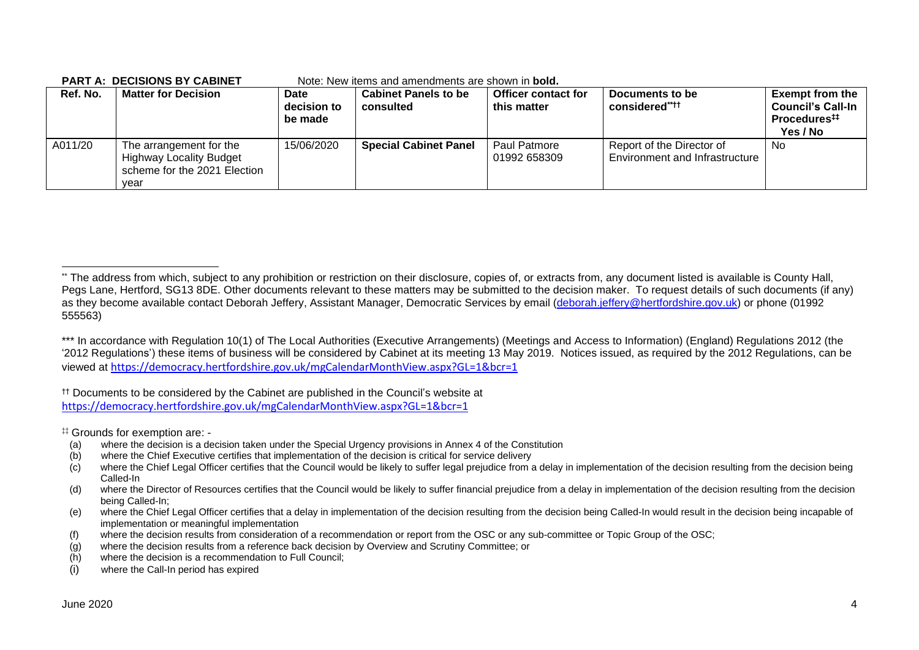|          | FANTA. DECISIONS DT CABINET                                                                       |                                | <u>INULE. INEW ILEITIS ANU ANTENUMENTS ALE SITUWIT IN <b>DUIU.</b></u> |                                    |                                                             |                                                                                           |
|----------|---------------------------------------------------------------------------------------------------|--------------------------------|------------------------------------------------------------------------|------------------------------------|-------------------------------------------------------------|-------------------------------------------------------------------------------------------|
| Ref. No. | <b>Matter for Decision</b>                                                                        | Date<br>decision to<br>be made | <b>Cabinet Panels to be</b><br>consulted                               | Officer contact for<br>this matter | Documents to be<br>considered****                           | <b>Exempt from the</b><br><b>Council's Call-In</b><br>Procedures <sup>#</sup><br>Yes / No |
| A011/20  | The arrangement for the<br><b>Highway Locality Budget</b><br>scheme for the 2021 Election<br>vear | 15/06/2020                     | <b>Special Cabinet Panel</b>                                           | Paul Patmore<br>01992 658309       | Report of the Director of<br>Environment and Infrastructure | No                                                                                        |

#### **PART A: DECISIONS BY CABINET** Note: New items and amendments are shown in **bold.**

†† Documents to be considered by the Cabinet are published in the Council's website at <https://democracy.hertfordshire.gov.uk/mgCalendarMonthView.aspx?GL=1&bcr=1>

‡‡ Grounds for exemption are: -

- (a) where the decision is a decision taken under the Special Urgency provisions in Annex 4 of the Constitution
- (b) where the Chief Executive certifies that implementation of the decision is critical for service delivery
- (c) where the Chief Legal Officer certifies that the Council would be likely to suffer legal prejudice from a delay in implementation of the decision resulting from the decision being Called-In
- (d) where the Director of Resources certifies that the Council would be likely to suffer financial prejudice from a delay in implementation of the decision resulting from the decision being Called-In;
- (e) where the Chief Legal Officer certifies that a delay in implementation of the decision resulting from the decision being Called-In would result in the decision being incapable of implementation or meaningful implementation
- (f) where the decision results from consideration of a recommendation or report from the OSC or any sub-committee or Topic Group of the OSC;
- (g) where the decision results from a reference back decision by Overview and Scrutiny Committee; or
- (h) where the decision is a recommendation to Full Council;
- (i) where the Call-In period has expired

<sup>\*\*</sup> The address from which, subject to any prohibition or restriction on their disclosure, copies of, or extracts from, any document listed is available is County Hall, Pegs Lane, Hertford, SG13 8DE. Other documents relevant to these matters may be submitted to the decision maker. To request details of such documents (if any) as they become available contact Deborah Jeffery, Assistant Manager, Democratic Services by email [\(deborah.jeffery@hertfordshire.gov.uk\)](mailto:deborah.jeffery@hertfordshire.gov.uk) or phone (01992 555563)

<sup>\*\*\*</sup> In accordance with Regulation 10(1) of The Local Authorities (Executive Arrangements) (Meetings and Access to Information) (England) Regulations 2012 (the '2012 Regulations') these items of business will be considered by Cabinet at its meeting 13 May 2019. Notices issued, as required by the 2012 Regulations, can be viewed at <https://democracy.hertfordshire.gov.uk/mgCalendarMonthView.aspx?GL=1&bcr=1>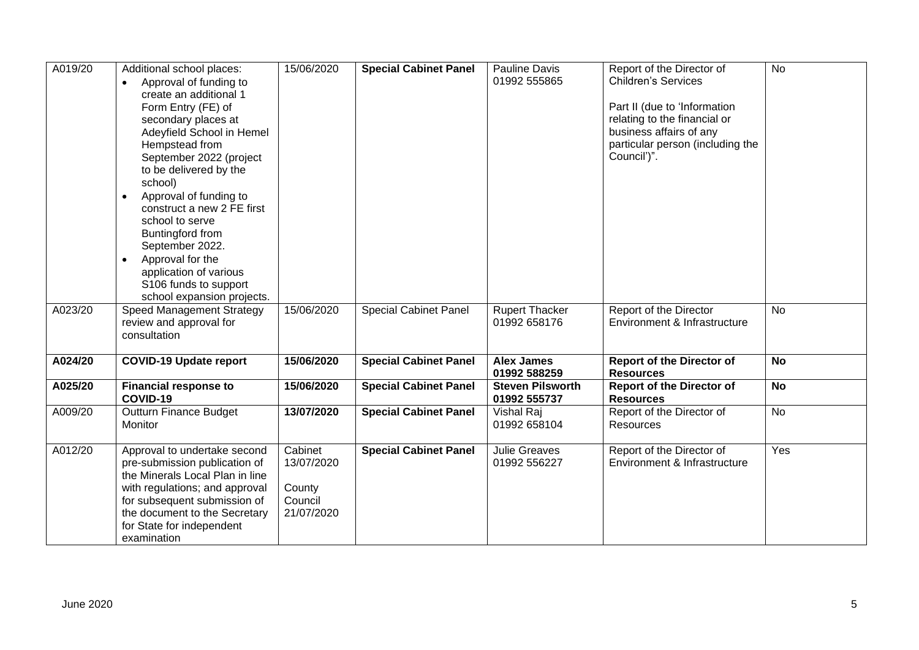| A019/20 | Additional school places:<br>Approval of funding to<br>$\bullet$<br>create an additional 1<br>Form Entry (FE) of                                                                                                                                | 15/06/2020                                               | <b>Special Cabinet Panel</b> | <b>Pauline Davis</b><br>01992 555865    | Report of the Director of<br><b>Children's Services</b><br>Part II (due to 'Information                    | <b>No</b> |
|---------|-------------------------------------------------------------------------------------------------------------------------------------------------------------------------------------------------------------------------------------------------|----------------------------------------------------------|------------------------------|-----------------------------------------|------------------------------------------------------------------------------------------------------------|-----------|
|         | secondary places at<br>Adeyfield School in Hemel<br>Hempstead from<br>September 2022 (project<br>to be delivered by the<br>school)                                                                                                              |                                                          |                              |                                         | relating to the financial or<br>business affairs of any<br>particular person (including the<br>Council')". |           |
|         | Approval of funding to<br>$\bullet$<br>construct a new 2 FE first<br>school to serve<br>Buntingford from<br>September 2022.<br>Approval for the<br>application of various<br>S106 funds to support<br>school expansion projects.                |                                                          |                              |                                         |                                                                                                            |           |
| A023/20 | Speed Management Strategy<br>review and approval for<br>consultation                                                                                                                                                                            | 15/06/2020                                               | <b>Special Cabinet Panel</b> | <b>Rupert Thacker</b><br>01992 658176   | Report of the Director<br>Environment & Infrastructure                                                     | <b>No</b> |
| A024/20 | <b>COVID-19 Update report</b>                                                                                                                                                                                                                   | 15/06/2020                                               | <b>Special Cabinet Panel</b> | <b>Alex James</b><br>01992 588259       | <b>Report of the Director of</b><br><b>Resources</b>                                                       | <b>No</b> |
| A025/20 | <b>Financial response to</b><br>COVID-19                                                                                                                                                                                                        | 15/06/2020                                               | <b>Special Cabinet Panel</b> | <b>Steven Pilsworth</b><br>01992 555737 | <b>Report of the Director of</b><br><b>Resources</b>                                                       | <b>No</b> |
| A009/20 | Outturn Finance Budget<br>Monitor                                                                                                                                                                                                               | 13/07/2020                                               | <b>Special Cabinet Panel</b> | Vishal Raj<br>01992 658104              | Report of the Director of<br>Resources                                                                     | No        |
| A012/20 | Approval to undertake second<br>pre-submission publication of<br>the Minerals Local Plan in line<br>with regulations; and approval<br>for subsequent submission of<br>the document to the Secretary<br>for State for independent<br>examination | Cabinet<br>13/07/2020<br>County<br>Council<br>21/07/2020 | <b>Special Cabinet Panel</b> | <b>Julie Greaves</b><br>01992 556227    | Report of the Director of<br>Environment & Infrastructure                                                  | Yes       |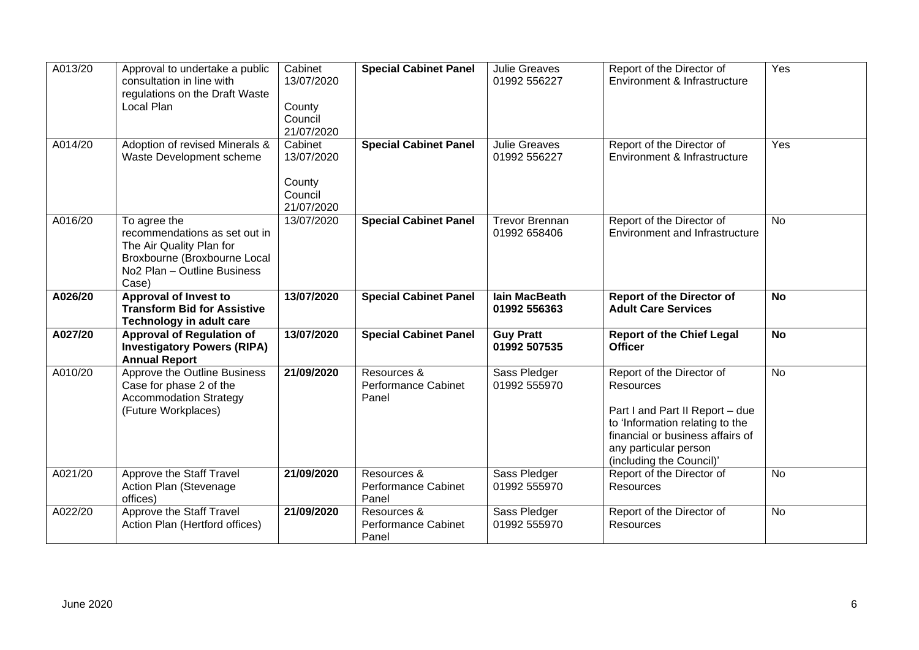| A013/20 | Approval to undertake a public<br>consultation in line with<br>regulations on the Draft Waste<br>Local Plan                                                   | Cabinet<br>13/07/2020<br>County<br>Council<br>21/07/2020 | <b>Special Cabinet Panel</b>                       | <b>Julie Greaves</b><br>01992 556227  | Report of the Director of<br>Environment & Infrastructure                                                                                                                                                    | Yes            |
|---------|---------------------------------------------------------------------------------------------------------------------------------------------------------------|----------------------------------------------------------|----------------------------------------------------|---------------------------------------|--------------------------------------------------------------------------------------------------------------------------------------------------------------------------------------------------------------|----------------|
| A014/20 | Adoption of revised Minerals &<br>Waste Development scheme                                                                                                    | Cabinet<br>13/07/2020<br>County<br>Council<br>21/07/2020 | <b>Special Cabinet Panel</b>                       | <b>Julie Greaves</b><br>01992 556227  | Report of the Director of<br>Environment & Infrastructure                                                                                                                                                    | Yes            |
| A016/20 | To agree the<br>recommendations as set out in<br>The Air Quality Plan for<br>Broxbourne (Broxbourne Local<br>No <sub>2</sub> Plan - Outline Business<br>Case) | 13/07/2020                                               | <b>Special Cabinet Panel</b>                       | <b>Trevor Brennan</b><br>01992 658406 | Report of the Director of<br>Environment and Infrastructure                                                                                                                                                  | $\overline{N}$ |
| A026/20 | Approval of Invest to<br><b>Transform Bid for Assistive</b><br><b>Technology in adult care</b>                                                                | 13/07/2020                                               | <b>Special Cabinet Panel</b>                       | <b>lain MacBeath</b><br>01992 556363  | <b>Report of the Director of</b><br><b>Adult Care Services</b>                                                                                                                                               | <b>No</b>      |
| A027/20 | <b>Approval of Regulation of</b><br><b>Investigatory Powers (RIPA)</b><br><b>Annual Report</b>                                                                | 13/07/2020                                               | <b>Special Cabinet Panel</b>                       | <b>Guy Pratt</b><br>01992 507535      | <b>Report of the Chief Legal</b><br><b>Officer</b>                                                                                                                                                           | <b>No</b>      |
| A010/20 | Approve the Outline Business<br>Case for phase 2 of the<br><b>Accommodation Strategy</b><br>(Future Workplaces)                                               | 21/09/2020                                               | Resources &<br>Performance Cabinet<br>Panel        | Sass Pledger<br>01992 555970          | Report of the Director of<br><b>Resources</b><br>Part I and Part II Report - due<br>to 'Information relating to the<br>financial or business affairs of<br>any particular person<br>(including the Council)' | No             |
| A021/20 | Approve the Staff Travel<br>Action Plan (Stevenage<br>offices)                                                                                                | 21/09/2020                                               | Resources &<br><b>Performance Cabinet</b><br>Panel | Sass Pledger<br>01992 555970          | Report of the Director of<br>Resources                                                                                                                                                                       | No             |
| A022/20 | Approve the Staff Travel                                                                                                                                      | 21/09/2020                                               | Resources &                                        | Sass Pledger                          | Report of the Director of                                                                                                                                                                                    | <b>No</b>      |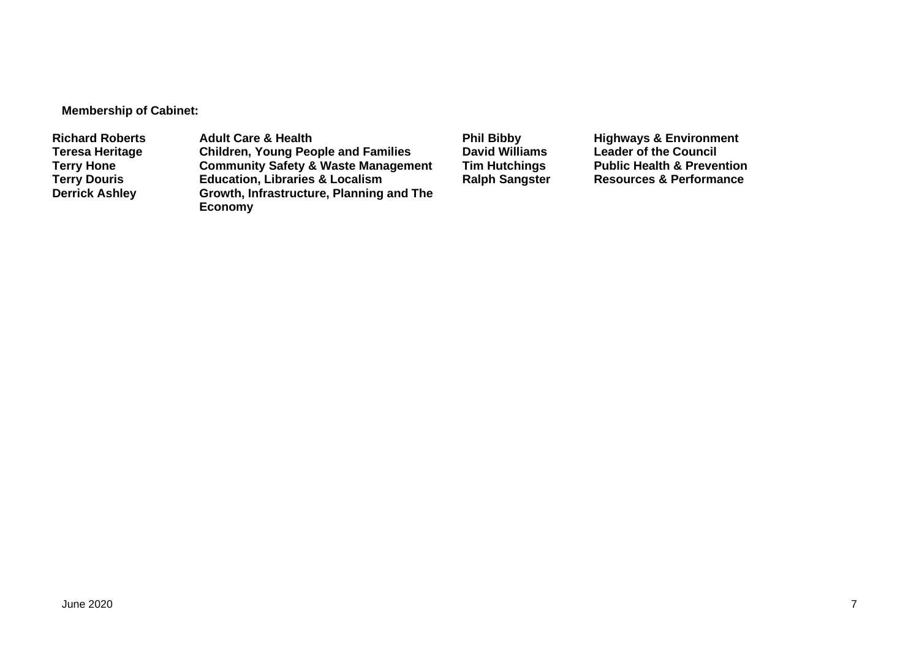**Membership of Cabinet:** 

Richard Roberts **Adult Care & Health Phil Bibby** Highways & Environment<br>
Teresa Heritage Children, Young People and Families David Williams Leader of the Council **Teresa Heritage Children, Young People and Families David Williams Leader of the Council Terry Hone Community Safety & Waste Management Tim Hutchings** Public Health & Prevention<br> **Terry Douris Education, Libraries & Localism** Ralph Sangster Resources & Performance **Terry Douris Education, Libraries & Localism**<br>**Derrick Ashley Growth, Infrastructure, Planning Growth, Infrastructure, Planning and The Economy**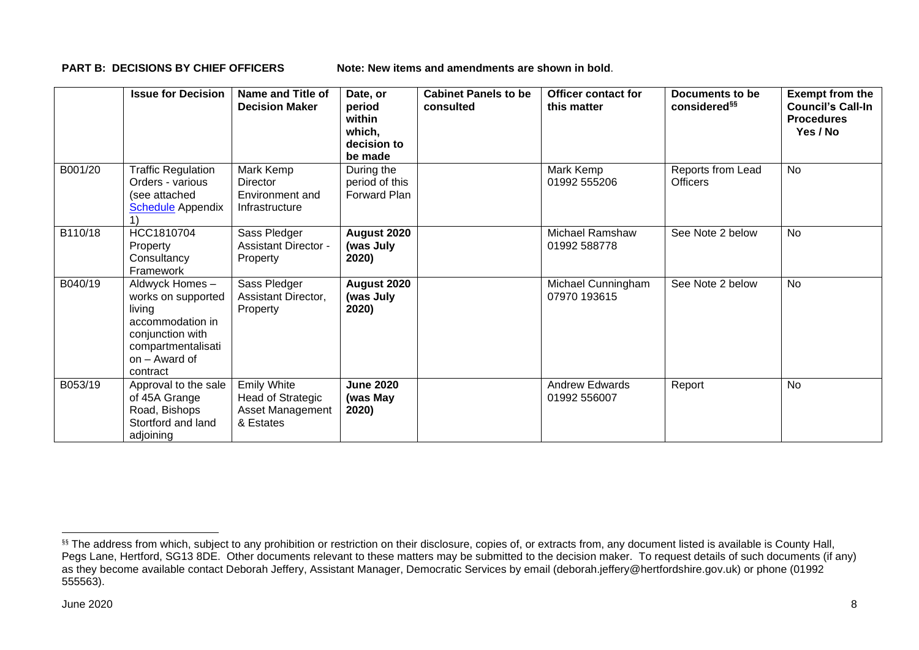**PART B: DECISIONS BY CHIEF OFFICERS** Note: New items and amendments are shown in bold.

|         | <b>Issue for Decision</b>                                                                                                                 | Name and Title of<br><b>Decision Maker</b>                               | Date, or<br>period<br>within<br>which,<br>decision to<br>be made | <b>Cabinet Panels to be</b><br>consulted | <b>Officer contact for</b><br>this matter | Documents to be<br>considered <sup>§§</sup> | <b>Exempt from the</b><br><b>Council's Call-In</b><br><b>Procedures</b><br>Yes / No |
|---------|-------------------------------------------------------------------------------------------------------------------------------------------|--------------------------------------------------------------------------|------------------------------------------------------------------|------------------------------------------|-------------------------------------------|---------------------------------------------|-------------------------------------------------------------------------------------|
| B001/20 | <b>Traffic Regulation</b><br>Orders - various<br>(see attached<br><b>Schedule</b> Appendix                                                | Mark Kemp<br><b>Director</b><br>Environment and<br>Infrastructure        | During the<br>period of this<br>Forward Plan                     |                                          | Mark Kemp<br>01992 555206                 | Reports from Lead<br><b>Officers</b>        | No                                                                                  |
| B110/18 | HCC1810704<br>Property<br>Consultancy<br>Framework                                                                                        | Sass Pledger<br><b>Assistant Director -</b><br>Property                  | August 2020<br>(was July<br>2020)                                |                                          | <b>Michael Ramshaw</b><br>01992 588778    | See Note 2 below                            | <b>No</b>                                                                           |
| B040/19 | Aldwyck Homes-<br>works on supported<br>living<br>accommodation in<br>conjunction with<br>compartmentalisati<br>on - Award of<br>contract | Sass Pledger<br>Assistant Director,<br>Property                          | August 2020<br>(was July<br>2020)                                |                                          | Michael Cunningham<br>07970 193615        | See Note 2 below                            | <b>No</b>                                                                           |
| B053/19 | Approval to the sale<br>of 45A Grange<br>Road, Bishops<br>Stortford and land<br>adjoining                                                 | <b>Emily White</b><br>Head of Strategic<br>Asset Management<br>& Estates | <b>June 2020</b><br>(was May<br>2020)                            |                                          | <b>Andrew Edwards</b><br>01992 556007     | Report                                      | <b>No</b>                                                                           |

<sup>§§</sup> The address from which, subject to any prohibition or restriction on their disclosure, copies of, or extracts from, any document listed is available is County Hall, Pegs Lane, Hertford, SG13 8DE. Other documents relevant to these matters may be submitted to the decision maker. To request details of such documents (if any) as they become available contact Deborah Jeffery, Assistant Manager, Democratic Services by email (deborah.jeffery@hertfordshire.gov.uk) or phone (01992 555563).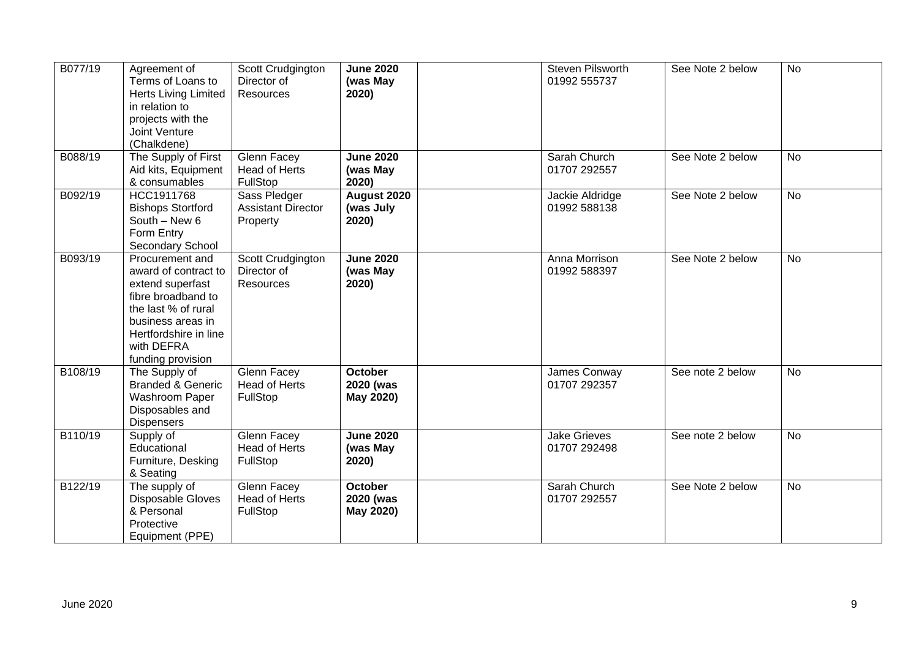| B077/19 | Agreement of<br>Terms of Loans to<br><b>Herts Living Limited</b><br>in relation to<br>projects with the<br>Joint Venture<br>(Chalkdene)                                                   | Scott Crudgington<br>Director of<br>Resources         | <b>June 2020</b><br>(was May<br>2020) | Steven Pilsworth<br>01992 555737    | See Note 2 below | <b>No</b> |
|---------|-------------------------------------------------------------------------------------------------------------------------------------------------------------------------------------------|-------------------------------------------------------|---------------------------------------|-------------------------------------|------------------|-----------|
| B088/19 | The Supply of First<br>Aid kits, Equipment<br>& consumables                                                                                                                               | <b>Glenn Facey</b><br>Head of Herts<br>FullStop       | <b>June 2020</b><br>(was May<br>2020) | Sarah Church<br>01707 292557        | See Note 2 below | <b>No</b> |
| B092/19 | HCC1911768<br><b>Bishops Stortford</b><br>South - New 6<br>Form Entry<br>Secondary School                                                                                                 | Sass Pledger<br><b>Assistant Director</b><br>Property | August 2020<br>(was July<br>2020)     | Jackie Aldridge<br>01992 588138     | See Note 2 below | No        |
| B093/19 | Procurement and<br>award of contract to<br>extend superfast<br>fibre broadband to<br>the last % of rural<br>business areas in<br>Hertfordshire in line<br>with DEFRA<br>funding provision | Scott Crudgington<br>Director of<br><b>Resources</b>  | <b>June 2020</b><br>(was May<br>2020) | Anna Morrison<br>01992 588397       | See Note 2 below | <b>No</b> |
| B108/19 | The Supply of<br><b>Branded &amp; Generic</b><br>Washroom Paper<br>Disposables and<br><b>Dispensers</b>                                                                                   | Glenn Facey<br><b>Head of Herts</b><br>FullStop       | October<br>2020 (was<br>May 2020)     | James Conway<br>01707 292357        | See note 2 below | <b>No</b> |
| B110/19 | Supply of<br>Educational<br>Furniture, Desking<br>& Seating                                                                                                                               | Glenn Facey<br>Head of Herts<br>FullStop              | <b>June 2020</b><br>(was May<br>2020) | <b>Jake Grieves</b><br>01707 292498 | See note 2 below | <b>No</b> |
| B122/19 | The supply of<br>Disposable Gloves<br>& Personal<br>Protective<br>Equipment (PPE)                                                                                                         | Glenn Facey<br><b>Head of Herts</b><br>FullStop       | October<br>2020 (was<br>May 2020)     | Sarah Church<br>01707 292557        | See Note 2 below | <b>No</b> |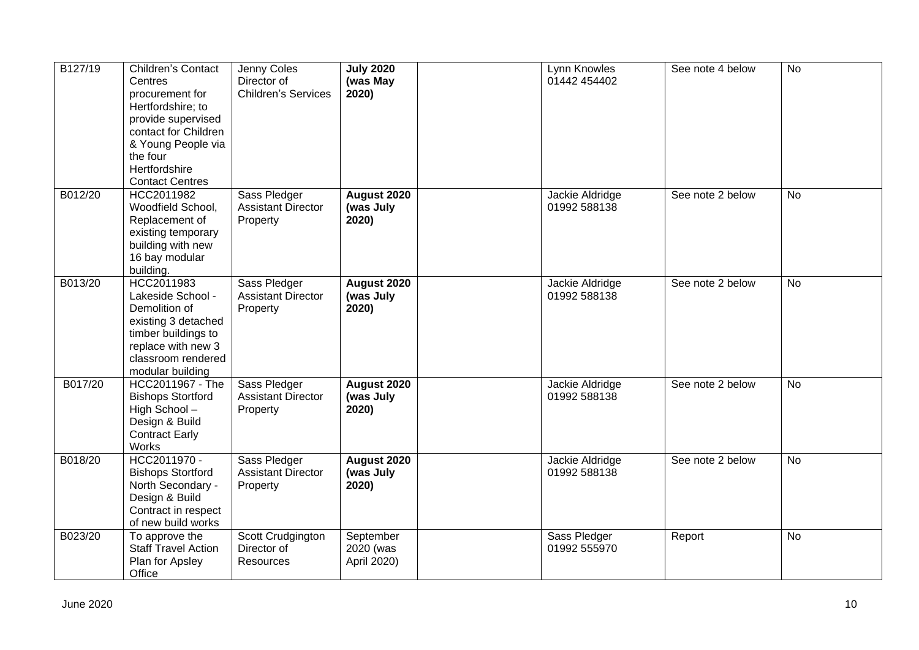| B127/19 | <b>Children's Contact</b><br>Centres<br>procurement for<br>Hertfordshire; to<br>provide supervised<br>contact for Children<br>& Young People via<br>the four<br>Hertfordshire<br><b>Contact Centres</b> | Jenny Coles<br>Director of<br><b>Children's Services</b> | <b>July 2020</b><br>(was May<br>2020) | Lynn Knowles<br>01442 454402    | See note 4 below | <b>No</b> |
|---------|---------------------------------------------------------------------------------------------------------------------------------------------------------------------------------------------------------|----------------------------------------------------------|---------------------------------------|---------------------------------|------------------|-----------|
| B012/20 | HCC2011982<br>Woodfield School,<br>Replacement of<br>existing temporary<br>building with new<br>16 bay modular<br>building.                                                                             | Sass Pledger<br><b>Assistant Director</b><br>Property    | August 2020<br>(was July<br>2020)     | Jackie Aldridge<br>01992 588138 | See note 2 below | <b>No</b> |
| B013/20 | HCC2011983<br>Lakeside School -<br>Demolition of<br>existing 3 detached<br>timber buildings to<br>replace with new 3<br>classroom rendered<br>modular building                                          | Sass Pledger<br><b>Assistant Director</b><br>Property    | August 2020<br>(was July<br>2020)     | Jackie Aldridge<br>01992 588138 | See note 2 below | <b>No</b> |
| B017/20 | HCC2011967 - The<br><b>Bishops Stortford</b><br>High School-<br>Design & Build<br><b>Contract Early</b><br>Works                                                                                        | Sass Pledger<br><b>Assistant Director</b><br>Property    | August 2020<br>(was July<br>2020)     | Jackie Aldridge<br>01992 588138 | See note 2 below | <b>No</b> |
| B018/20 | HCC2011970 -<br><b>Bishops Stortford</b><br>North Secondary -<br>Design & Build<br>Contract in respect<br>of new build works                                                                            | Sass Pledger<br><b>Assistant Director</b><br>Property    | August 2020<br>(was July<br>2020)     | Jackie Aldridge<br>01992 588138 | See note 2 below | <b>No</b> |
| B023/20 | To approve the<br><b>Staff Travel Action</b><br>Plan for Apsley<br>Office                                                                                                                               | Scott Crudgington<br>Director of<br><b>Resources</b>     | September<br>2020 (was<br>April 2020) | Sass Pledger<br>01992 555970    | Report           | <b>No</b> |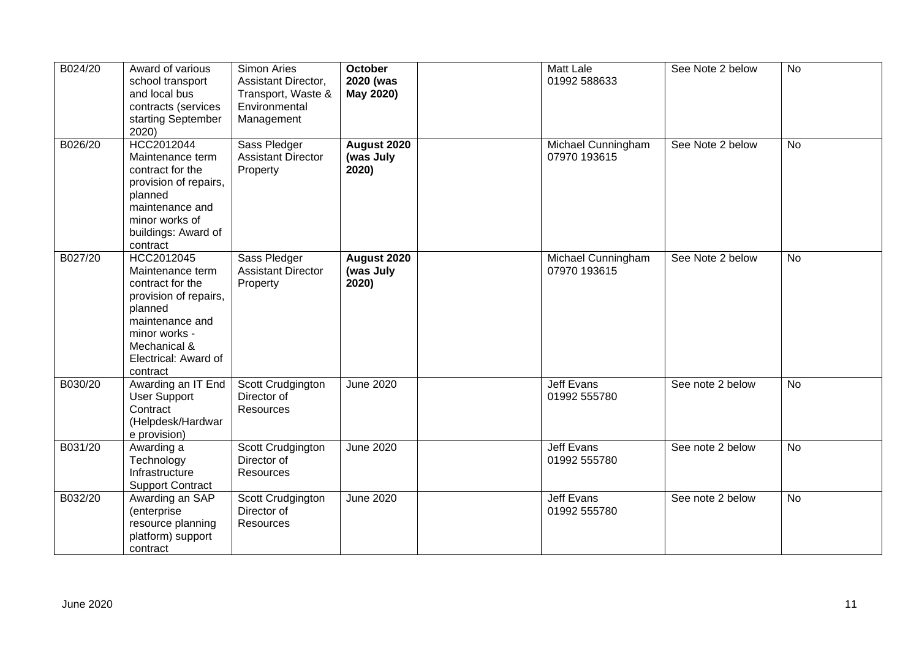| B024/20 | Award of various<br>school transport<br>and local bus<br>contracts (services<br>starting September<br>2020)                                                                    | Simon Aries<br>Assistant Director,<br>Transport, Waste &<br>Environmental<br>Management | <b>October</b><br>2020 (was<br>May 2020) | Matt Lale<br>01992 588633          | See Note 2 below | No             |
|---------|--------------------------------------------------------------------------------------------------------------------------------------------------------------------------------|-----------------------------------------------------------------------------------------|------------------------------------------|------------------------------------|------------------|----------------|
| B026/20 | HCC2012044<br>Maintenance term<br>contract for the<br>provision of repairs,<br>planned<br>maintenance and<br>minor works of<br>buildings: Award of<br>contract                 | Sass Pledger<br><b>Assistant Director</b><br>Property                                   | August 2020<br>(was July<br>2020)        | Michael Cunningham<br>07970 193615 | See Note 2 below | <b>No</b>      |
| B027/20 | HCC2012045<br>Maintenance term<br>contract for the<br>provision of repairs,<br>planned<br>maintenance and<br>minor works -<br>Mechanical &<br>Electrical: Award of<br>contract | Sass Pledger<br><b>Assistant Director</b><br>Property                                   | <b>August 2020</b><br>(was July<br>2020) | Michael Cunningham<br>07970 193615 | See Note 2 below | No             |
| B030/20 | Awarding an IT End<br><b>User Support</b><br>Contract<br>(Helpdesk/Hardwar<br>e provision)                                                                                     | Scott Crudgington<br>Director of<br><b>Resources</b>                                    | <b>June 2020</b>                         | <b>Jeff Evans</b><br>01992 555780  | See note 2 below | <b>No</b>      |
| B031/20 | Awarding a<br>Technology<br>Infrastructure<br><b>Support Contract</b>                                                                                                          | Scott Crudgington<br>Director of<br><b>Resources</b>                                    | <b>June 2020</b>                         | <b>Jeff Evans</b><br>01992 555780  | See note 2 below | $\overline{N}$ |
| B032/20 | Awarding an SAP<br>(enterprise<br>resource planning<br>platform) support<br>contract                                                                                           | Scott Crudgington<br>Director of<br>Resources                                           | <b>June 2020</b>                         | Jeff Evans<br>01992 555780         | See note 2 below | No             |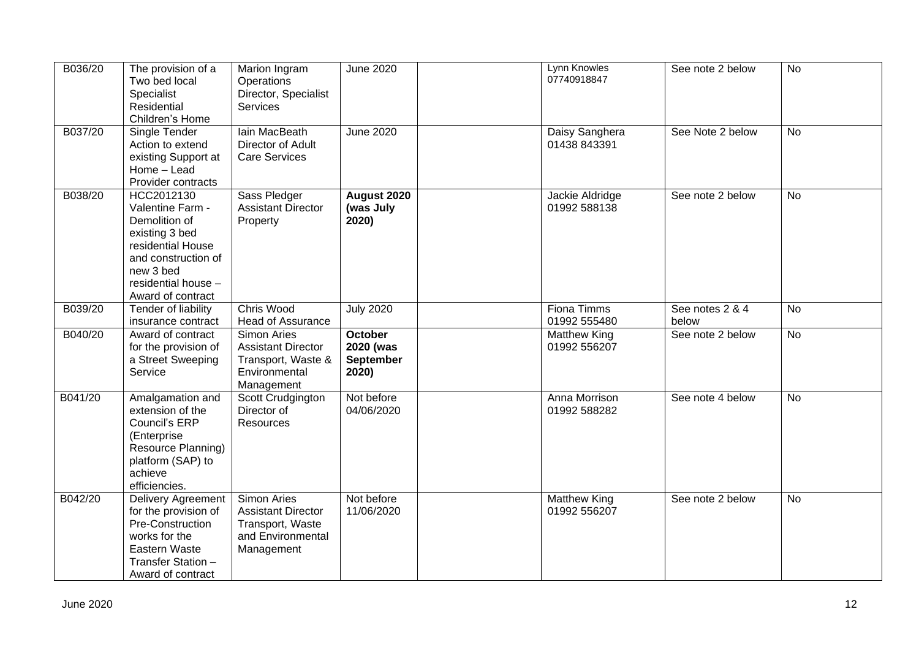| B036/20 | The provision of a<br>Two bed local<br>Specialist<br>Residential<br>Children's Home                                                                                    | Marion Ingram<br>Operations<br>Director, Specialist<br>Services                                 | <b>June 2020</b>                                  | Lynn Knowles<br>07740918847         | See note 2 below         | No        |
|---------|------------------------------------------------------------------------------------------------------------------------------------------------------------------------|-------------------------------------------------------------------------------------------------|---------------------------------------------------|-------------------------------------|--------------------------|-----------|
| B037/20 | Single Tender<br>Action to extend<br>existing Support at<br>Home - Lead<br>Provider contracts                                                                          | Iain MacBeath<br>Director of Adult<br><b>Care Services</b>                                      | <b>June 2020</b>                                  | Daisy Sanghera<br>01438 843391      | See Note 2 below         | No        |
| B038/20 | HCC2012130<br>Valentine Farm -<br>Demolition of<br>existing 3 bed<br>residential House<br>and construction of<br>new 3 bed<br>residential house -<br>Award of contract | Sass Pledger<br><b>Assistant Director</b><br>Property                                           | August 2020<br>(was July<br>2020)                 | Jackie Aldridge<br>01992 588138     | See note 2 below         | No        |
| B039/20 | Tender of liability<br>insurance contract                                                                                                                              | Chris Wood<br><b>Head of Assurance</b>                                                          | <b>July 2020</b>                                  | <b>Fiona Timms</b><br>01992 555480  | See notes 2 & 4<br>below | <b>No</b> |
| B040/20 | Award of contract<br>for the provision of<br>a Street Sweeping<br>Service                                                                                              | Simon Aries<br><b>Assistant Director</b><br>Transport, Waste &<br>Environmental<br>Management   | <b>October</b><br>2020 (was<br>September<br>2020) | <b>Matthew King</b><br>01992 556207 | See note 2 below         | No        |
| B041/20 | Amalgamation and<br>extension of the<br>Council's ERP<br>(Enterprise<br>Resource Planning)<br>platform (SAP) to<br>achieve<br>efficiencies.                            | Scott Crudgington<br>Director of<br><b>Resources</b>                                            | Not before<br>04/06/2020                          | Anna Morrison<br>01992 588282       | See note 4 below         | <b>No</b> |
| B042/20 | <b>Delivery Agreement</b><br>for the provision of<br>Pre-Construction<br>works for the<br>Eastern Waste<br>Transfer Station -<br>Award of contract                     | Simon Aries<br><b>Assistant Director</b><br>Transport, Waste<br>and Environmental<br>Management | Not before<br>11/06/2020                          | <b>Matthew King</b><br>01992 556207 | See note 2 below         | No        |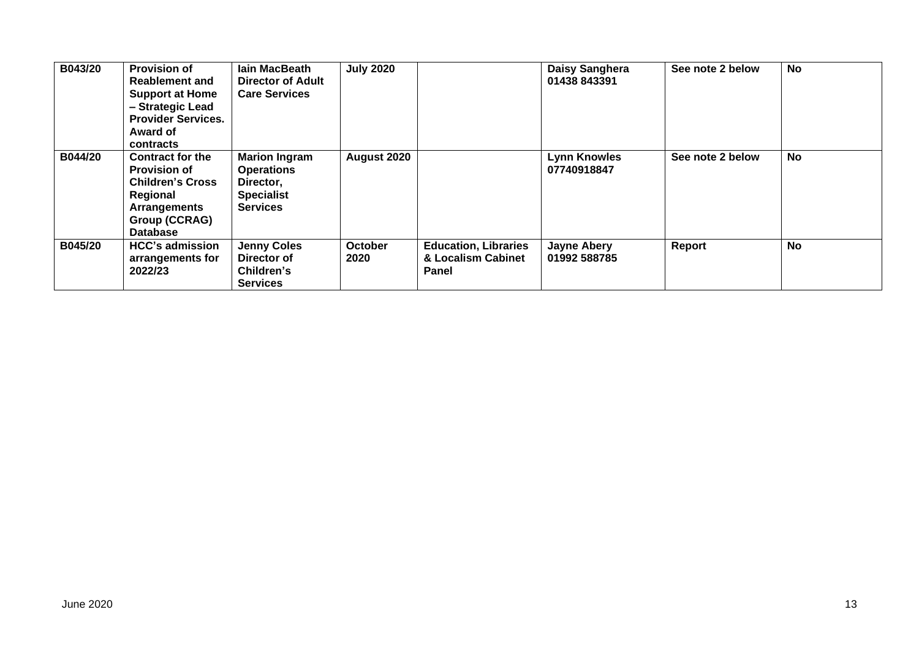| B043/20        | <b>Provision of</b><br><b>Reablement and</b><br><b>Support at Home</b><br>- Strategic Lead<br><b>Provider Services.</b><br>Award of<br>contracts | <b>lain MacBeath</b><br><b>Director of Adult</b><br><b>Care Services</b>                       | <b>July 2020</b> |                                                            | Daisy Sanghera<br>01438 843391     | See note 2 below | <b>No</b> |
|----------------|--------------------------------------------------------------------------------------------------------------------------------------------------|------------------------------------------------------------------------------------------------|------------------|------------------------------------------------------------|------------------------------------|------------------|-----------|
| B044/20        | <b>Contract for the</b><br><b>Provision of</b><br><b>Children's Cross</b><br>Regional<br><b>Arrangements</b><br>Group (CCRAG)<br><b>Database</b> | <b>Marion Ingram</b><br><b>Operations</b><br>Director,<br><b>Specialist</b><br><b>Services</b> | August 2020      |                                                            | <b>Lynn Knowles</b><br>07740918847 | See note 2 below | No        |
| <b>B045/20</b> | <b>HCC's admission</b><br>arrangements for<br>2022/23                                                                                            | <b>Jenny Coles</b><br>Director of<br>Children's<br><b>Services</b>                             | October<br>2020  | <b>Education, Libraries</b><br>& Localism Cabinet<br>Panel | <b>Jayne Abery</b><br>01992 588785 | Report           | <b>No</b> |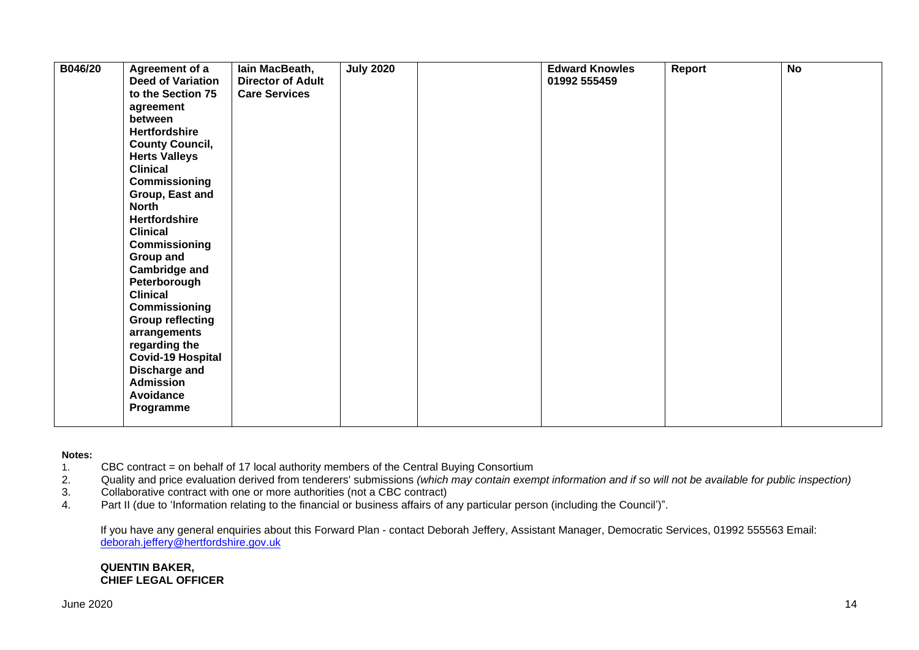| B046/20 | Agreement of a           | lain MacBeath,           | <b>July 2020</b> | <b>Edward Knowles</b> | Report | $\overline{N}$ |
|---------|--------------------------|--------------------------|------------------|-----------------------|--------|----------------|
|         | <b>Deed of Variation</b> | <b>Director of Adult</b> |                  | 01992 555459          |        |                |
|         | to the Section 75        | <b>Care Services</b>     |                  |                       |        |                |
|         | agreement                |                          |                  |                       |        |                |
|         | between                  |                          |                  |                       |        |                |
|         | <b>Hertfordshire</b>     |                          |                  |                       |        |                |
|         | <b>County Council,</b>   |                          |                  |                       |        |                |
|         | <b>Herts Valleys</b>     |                          |                  |                       |        |                |
|         | <b>Clinical</b>          |                          |                  |                       |        |                |
|         | Commissioning            |                          |                  |                       |        |                |
|         | Group, East and          |                          |                  |                       |        |                |
|         | <b>North</b>             |                          |                  |                       |        |                |
|         | <b>Hertfordshire</b>     |                          |                  |                       |        |                |
|         | <b>Clinical</b>          |                          |                  |                       |        |                |
|         | Commissioning            |                          |                  |                       |        |                |
|         | Group and                |                          |                  |                       |        |                |
|         | <b>Cambridge and</b>     |                          |                  |                       |        |                |
|         | Peterborough             |                          |                  |                       |        |                |
|         | <b>Clinical</b>          |                          |                  |                       |        |                |
|         | Commissioning            |                          |                  |                       |        |                |
|         | <b>Group reflecting</b>  |                          |                  |                       |        |                |
|         | arrangements             |                          |                  |                       |        |                |
|         | regarding the            |                          |                  |                       |        |                |
|         | <b>Covid-19 Hospital</b> |                          |                  |                       |        |                |
|         | Discharge and            |                          |                  |                       |        |                |
|         | <b>Admission</b>         |                          |                  |                       |        |                |
|         | Avoidance                |                          |                  |                       |        |                |
|         | Programme                |                          |                  |                       |        |                |
|         |                          |                          |                  |                       |        |                |

#### **Notes:**

- 1. CBC contract = on behalf of 17 local authority members of the Central Buying Consortium
- 2. Quality and price evaluation derived from tenderers' submissions *(which may contain exempt information and if so will not be available for public inspection)*
- 3. Collaborative contract with one or more authorities (not a CBC contract)
- 4. Part II (due to 'Information relating to the financial or business affairs of any particular person (including the Council')".

If you have any general enquiries about this Forward Plan - contact Deborah Jeffery, Assistant Manager, Democratic Services, 01992 555563 Email: [deborah.jeffery@hertfordshire.gov.uk](mailto:deborah.jeffery@hertfordshire.gov.uk) 

#### **QUENTIN BAKER, CHIEF LEGAL OFFICER**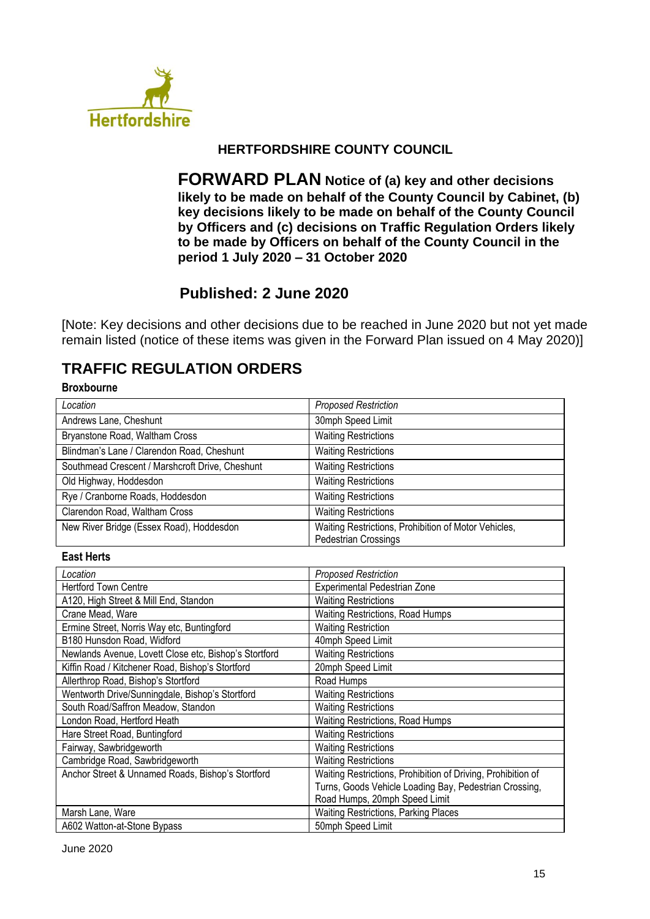

# **HERTFORDSHIRE COUNTY COUNCIL**

**FORWARD PLAN Notice of (a) key and other decisions likely to be made on behalf of the County Council by Cabinet, (b) key decisions likely to be made on behalf of the County Council by Officers and (c) decisions on Traffic Regulation Orders likely to be made by Officers on behalf of the County Council in the period 1 July 2020 – 31 October 2020**

# **Published: 2 June 2020**

[Note: Key decisions and other decisions due to be reached in June 2020 but not yet made remain listed (notice of these items was given in the Forward Plan issued on 4 May 2020)]

# **TRAFFIC REGULATION ORDERS**

### **Broxbourne**

| Location                                              | <b>Proposed Restriction</b>                                                  |
|-------------------------------------------------------|------------------------------------------------------------------------------|
| Andrews Lane, Cheshunt                                | 30mph Speed Limit                                                            |
| Bryanstone Road, Waltham Cross                        | <b>Waiting Restrictions</b>                                                  |
| Blindman's Lane / Clarendon Road, Cheshunt            | <b>Waiting Restrictions</b>                                                  |
| Southmead Crescent / Marshcroft Drive, Cheshunt       | <b>Waiting Restrictions</b>                                                  |
| Old Highway, Hoddesdon                                | <b>Waiting Restrictions</b>                                                  |
| Rye / Cranborne Roads, Hoddesdon                      | <b>Waiting Restrictions</b>                                                  |
| Clarendon Road, Waltham Cross                         | <b>Waiting Restrictions</b>                                                  |
| New River Bridge (Essex Road), Hoddesdon              | Waiting Restrictions, Prohibition of Motor Vehicles,<br>Pedestrian Crossings |
|                                                       |                                                                              |
| <b>East Herts</b>                                     |                                                                              |
| Location                                              | <b>Proposed Restriction</b>                                                  |
| <b>Hertford Town Centre</b>                           | Experimental Pedestrian Zone                                                 |
| A120, High Street & Mill End, Standon                 | <b>Waiting Restrictions</b>                                                  |
| Crane Mead, Ware                                      | Waiting Restrictions, Road Humps                                             |
| Ermine Street, Norris Way etc, Buntingford            | <b>Waiting Restriction</b>                                                   |
| B180 Hunsdon Road, Widford                            | 40mph Speed Limit                                                            |
| Newlands Avenue, Lovett Close etc, Bishop's Stortford | <b>Waiting Restrictions</b>                                                  |
| Kiffin Road / Kitchener Road, Bishop's Stortford      | 20mph Speed Limit                                                            |
| Allerthrop Road, Bishop's Stortford                   | Road Humps                                                                   |
| Wentworth Drive/Sunningdale, Bishop's Stortford       | <b>Waiting Restrictions</b>                                                  |
| South Road/Saffron Meadow, Standon                    | <b>Waiting Restrictions</b>                                                  |
| London Road, Hertford Heath                           | <b>Waiting Restrictions, Road Humps</b>                                      |
| Hare Street Road, Buntingford                         | <b>Waiting Restrictions</b>                                                  |
| Fairway, Sawbridgeworth                               | <b>Waiting Restrictions</b>                                                  |
| Cambridge Road, Sawbridgeworth                        | <b>Waiting Restrictions</b>                                                  |
| Anchor Street & Unnamed Roads, Bishop's Stortford     | Waiting Restrictions, Prohibition of Driving, Prohibition of                 |
|                                                       | Turns, Goods Vehicle Loading Bay, Pedestrian Crossing,                       |
|                                                       | Road Humps, 20mph Speed Limit                                                |
| Marsh Lane, Ware                                      | <b>Waiting Restrictions, Parking Places</b>                                  |
| A602 Watton-at-Stone Bypass                           | 50mph Speed Limit                                                            |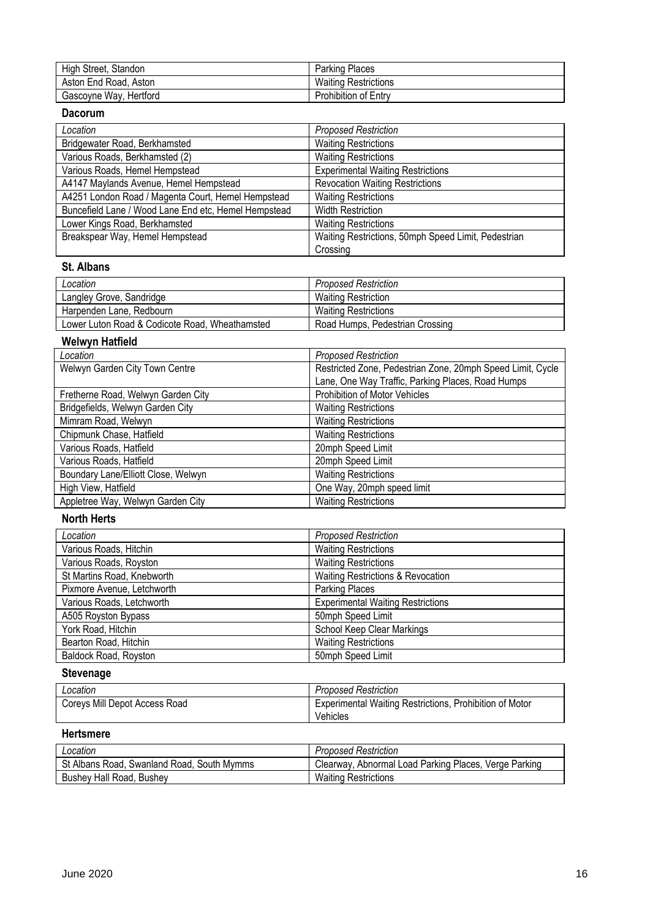| High Street, Standon   | <b>Parking Places</b>       |
|------------------------|-----------------------------|
| Aston End Road, Aston  | <b>Waiting Restrictions</b> |
| Gascoyne Way, Hertford | Prohibition of Entry        |

## **Dacorum**

| Location                                             | <b>Proposed Restriction</b>                         |
|------------------------------------------------------|-----------------------------------------------------|
| Bridgewater Road, Berkhamsted                        | <b>Waiting Restrictions</b>                         |
| Various Roads, Berkhamsted (2)                       | <b>Waiting Restrictions</b>                         |
| Various Roads, Hemel Hempstead                       | <b>Experimental Waiting Restrictions</b>            |
| A4147 Maylands Avenue, Hemel Hempstead               | <b>Revocation Waiting Restrictions</b>              |
| A4251 London Road / Magenta Court, Hemel Hempstead   | <b>Waiting Restrictions</b>                         |
| Buncefield Lane / Wood Lane End etc, Hemel Hempstead | <b>Width Restriction</b>                            |
| Lower Kings Road, Berkhamsted                        | <b>Waiting Restrictions</b>                         |
| Breakspear Way, Hemel Hempstead                      | Waiting Restrictions, 50mph Speed Limit, Pedestrian |
|                                                      | Crossing                                            |

#### **St. Albans**

| Location                                       | <b>Proposed Restriction</b>     |
|------------------------------------------------|---------------------------------|
| Langley Grove, Sandridge                       | <b>Waiting Restriction</b>      |
| Harpenden Lane, Redbourn                       | <b>Waiting Restrictions</b>     |
| Lower Luton Road & Codicote Road, Wheathamsted | Road Humps, Pedestrian Crossing |

## **Welwyn Hatfield**

| Location                            | <b>Proposed Restriction</b>                                |
|-------------------------------------|------------------------------------------------------------|
| Welwyn Garden City Town Centre      | Restricted Zone, Pedestrian Zone, 20mph Speed Limit, Cycle |
|                                     | Lane, One Way Traffic, Parking Places, Road Humps          |
| Fretherne Road, Welwyn Garden City  | Prohibition of Motor Vehicles                              |
| Bridgefields, Welwyn Garden City    | <b>Waiting Restrictions</b>                                |
| Mimram Road, Welwyn                 | <b>Waiting Restrictions</b>                                |
| Chipmunk Chase, Hatfield            | <b>Waiting Restrictions</b>                                |
| Various Roads, Hatfield             | 20mph Speed Limit                                          |
| Various Roads, Hatfield             | 20mph Speed Limit                                          |
| Boundary Lane/Elliott Close, Welwyn | <b>Waiting Restrictions</b>                                |
| High View, Hatfield                 | One Way, 20mph speed limit                                 |
| Appletree Way, Welwyn Garden City   | <b>Waiting Restrictions</b>                                |

#### **North Herts**

| Location                     | <b>Proposed Restriction</b>                  |
|------------------------------|----------------------------------------------|
| Various Roads, Hitchin       | <b>Waiting Restrictions</b>                  |
| Various Roads, Royston       | <b>Waiting Restrictions</b>                  |
| St Martins Road, Knebworth   | <b>Waiting Restrictions &amp; Revocation</b> |
| Pixmore Avenue, Letchworth   | <b>Parking Places</b>                        |
| Various Roads, Letchworth    | <b>Experimental Waiting Restrictions</b>     |
| A505 Royston Bypass          | 50mph Speed Limit                            |
| York Road, Hitchin           | School Keep Clear Markings                   |
| Bearton Road, Hitchin        | <b>Waiting Restrictions</b>                  |
| <b>Baldock Road, Royston</b> | 50mph Speed Limit                            |

# **Stevenage**

| Location                      | <b>Proposed Restriction</b>                                    |
|-------------------------------|----------------------------------------------------------------|
| Coreys Mill Depot Access Road | <b>Experimental Waiting Restrictions, Prohibition of Motor</b> |
|                               | Vehicles                                                       |

## **Hertsmere**

| Location                                   | <b>Proposed Restriction</b>                           |
|--------------------------------------------|-------------------------------------------------------|
| St Albans Road, Swanland Road, South Mymms | Clearway, Abnormal Load Parking Places, Verge Parking |
| Bushey Hall Road, Bushey                   | <b>Waiting Restrictions</b>                           |